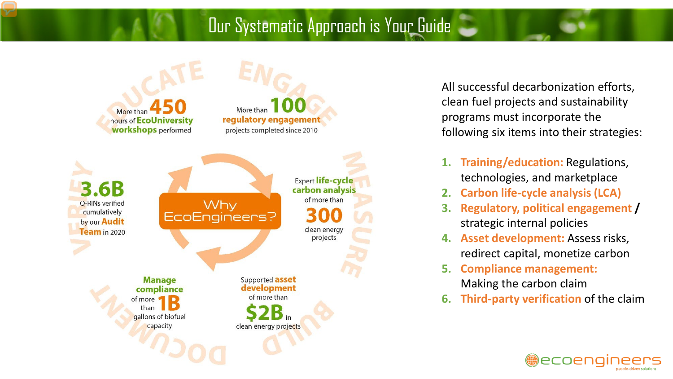### Our Systematic Approach is Your Guide



All successful decarbonization efforts, clean fuel projects and sustainability programs must incorporate the following six items into their strategies:

- **1. Training/education:** Regulations, technologies, and marketplace
- **2. Carbon life-cycle analysis (LCA)**
- **3. Regulatory, political engagement /**  strategic internal policies
- **4. Asset development:** Assess risks, redirect capital, monetize carbon
- **5. Compliance management:**  Making the carbon claim
- **6. Third-party verification** of the claim

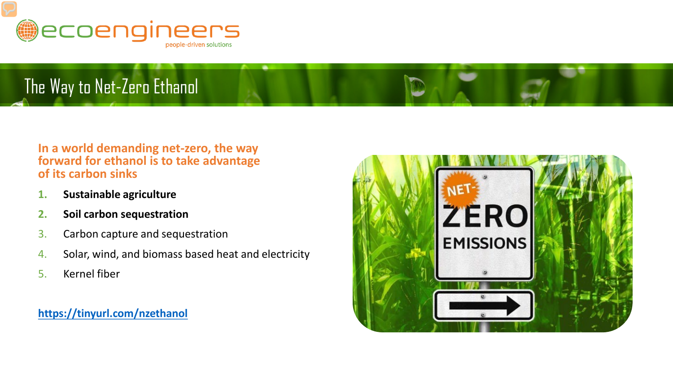

## The Way to Net-Zero Ethanol

#### **In a world demanding net-zero, the way forward for ethanol is to take advantage of its carbon sinks**

- **1. Sustainable agriculture**
- **2. Soil carbon sequestration**
- 3. Carbon capture and sequestration
- 4. Solar, wind, and biomass based heat and electricity
- 5. Kernel fiber

**<https://tinyurl.com/nzethanol>**

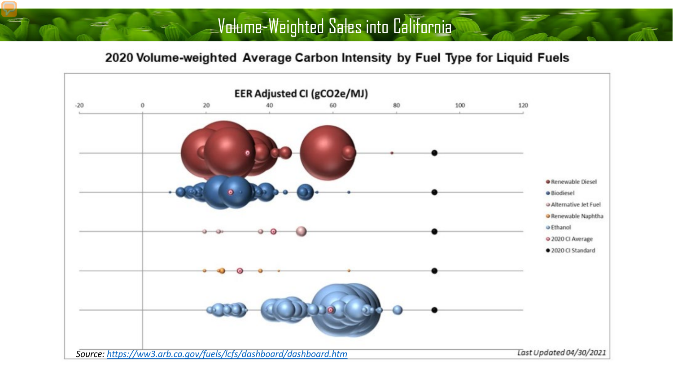### Volume-Weighted Sales into California

#### 2020 Volume-weighted Average Carbon Intensity by Fuel Type for Liquid Fuels

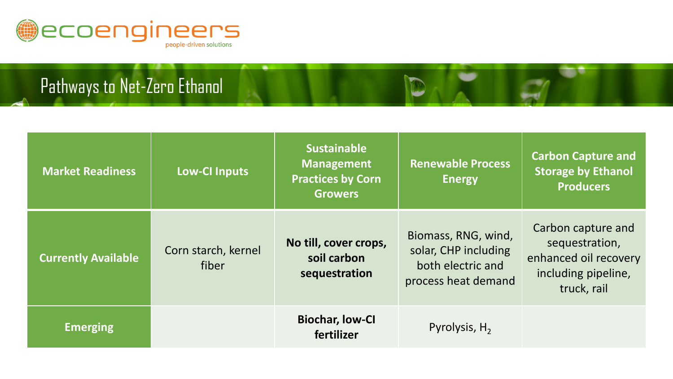

## Pathways to Net-Zero Ethanol

| <b>Market Readiness</b>    | <b>Low-Cl Inputs</b>         | <b>Sustainable</b><br><b>Management</b><br><b>Practices by Corn</b><br><b>Growers</b> | <b>Renewable Process</b><br><b>Energy</b>                                               | <b>Carbon Capture and</b><br><b>Storage by Ethanol</b><br><b>Producers</b>                          |
|----------------------------|------------------------------|---------------------------------------------------------------------------------------|-----------------------------------------------------------------------------------------|-----------------------------------------------------------------------------------------------------|
| <b>Currently Available</b> | Corn starch, kernel<br>fiber | No till, cover crops,<br>soil carbon<br>sequestration                                 | Biomass, RNG, wind,<br>solar, CHP including<br>both electric and<br>process heat demand | Carbon capture and<br>sequestration,<br>enhanced oil recovery<br>including pipeline,<br>truck, rail |
| Emerging                   |                              | <b>Biochar, low-Cl</b><br>fertilizer                                                  | Pyrolysis, $H_2$                                                                        |                                                                                                     |

D

.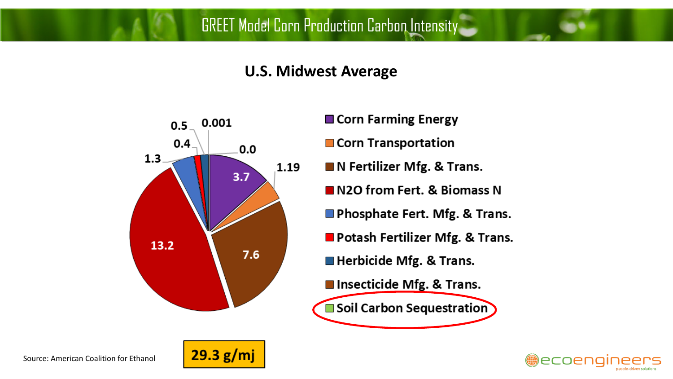### **U.S. Midwest Average**



- Corn Farming Energy
- Corn Transportation
- **N** Fertilizer Mfg. & Trans.
- N2O from Fert. & Biomass N
- Phosphate Fert. Mfg. & Trans.
- Potash Fertilizer Mfg. & Trans.
- Herbicide Mfg. & Trans.
- Insecticide Mfg. & Trans.
- Soil Carbon Sequestration



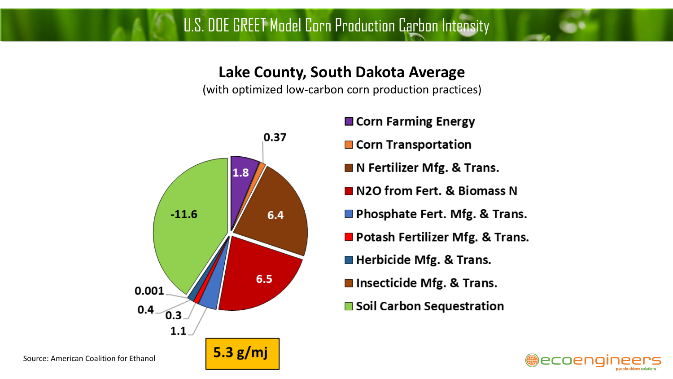U.S. DOE GREET Model Corn Production Carbon Intensity

### **Lake County, South Dakota Average**

(with optimized low-carbon corn production practices)



#### **■ Corn Farming Energy**

- **Corn Transportation**
- IN Fertilizer Mfg. & Trans.
- N2O from Fert. & Biomass N
- **Phosphate Fert. Mfg. & Trans.**
- Potash Fertilizer Mfg. & Trans.
- **Herbicide Mfg. & Trans.**
- Insecticide Mfg. & Trans.
- **■** Soil Carbon Sequestration

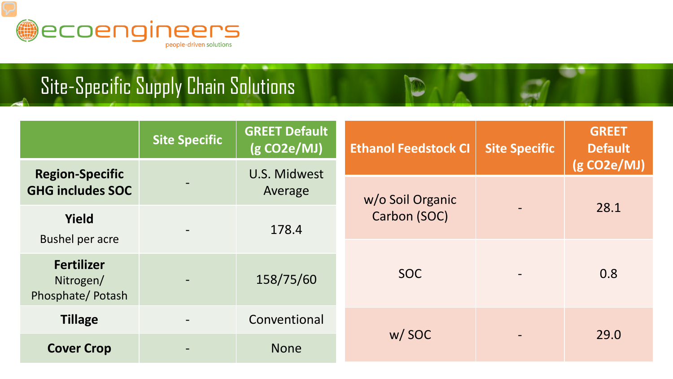

# Site-Specific Supply Chain Solutions

|                                                    | Site Specific | <b>GREET Default</b><br>(g CO2e/MJ) | <b>Ethanol Feedstock CI</b> | <b>Site Specific</b> | <b>GREET</b><br><b>Default</b> |
|----------------------------------------------------|---------------|-------------------------------------|-----------------------------|----------------------|--------------------------------|
| <b>Region-Specific</b><br><b>GHG includes SOC</b>  |               | <b>U.S. Midwest</b><br>Average      | w/o Soil Organic            |                      | (g CO2e/MJ)                    |
| <b>Yield</b><br><b>Bushel per acre</b>             |               | 178.4                               | Carbon (SOC)                |                      | 28.1                           |
| <b>Fertilizer</b><br>Nitrogen/<br>Phosphate/Potash |               | 158/75/60                           | <b>SOC</b>                  |                      | 0.8                            |
| <b>Tillage</b>                                     |               | Conventional                        | w/SOC                       |                      | 29.0                           |
| <b>Cover Crop</b>                                  |               | <b>None</b>                         |                             |                      |                                |

D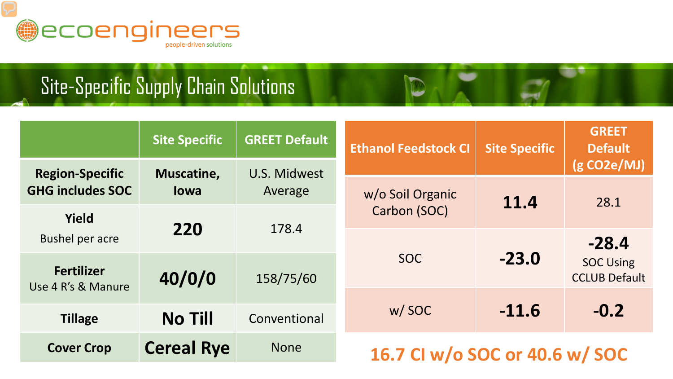

# Site-Specific Supply Chain Solutions

|                                         | <b>Site Specific</b> | <b>GREET Default</b>    | <b>Ethanol Feedstock CI</b>      | <b>Site Specific</b> | <b>GREET</b><br><b>Default</b>           |
|-----------------------------------------|----------------------|-------------------------|----------------------------------|----------------------|------------------------------------------|
| <b>Region-Specific</b>                  | Muscatine,           | U.S. Midwest<br>Average |                                  |                      | (g CO2e/MJ)                              |
| <b>GHG includes SOC</b>                 | <b>lowa</b>          |                         | w/o Soil Organic<br>Carbon (SOC) | 11.4                 | 28.1                                     |
| <b>Yield</b>                            |                      | 178.4<br>158/75/60      |                                  |                      |                                          |
| <b>Bushel per acre</b>                  | 220                  |                         |                                  |                      | $-28.4$                                  |
| <b>Fertilizer</b><br>Use 4 R's & Manure | 40/0/0               |                         | <b>SOC</b>                       | $-23.0$              | <b>SOC Using</b><br><b>CCLUB Default</b> |
|                                         |                      |                         |                                  |                      |                                          |
| <b>Tillage</b>                          | <b>No Till</b>       | Conventional            | w/SOC                            | $-11.6$              | $-0.2$                                   |
| <b>Cover Crop</b>                       | <b>Cereal Rye</b>    | <b>None</b>             | 16.7 CI w/o SOC or 40.6 w/ SOC   |                      |                                          |

D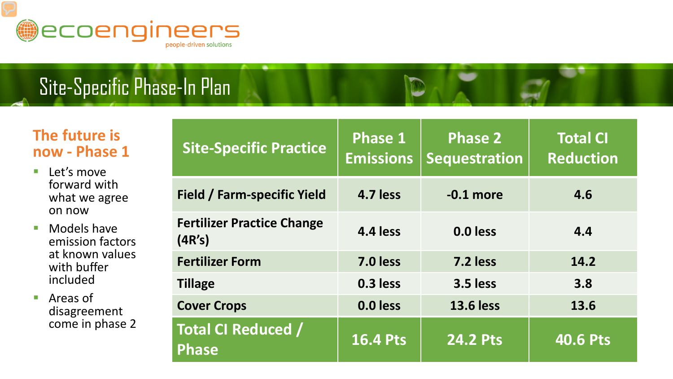

# Site-Specific Phase-In Plan

### **The future is now - Phase 1**

- **Let's move** forward with what we agree on now
- Models have emission factors at known values with buffer included

■ Areas of disagreement come in phase 2

| <b>Site-Specific Practice</b>               | Phase 1<br><b>Emissions</b> | <b>Phase 2</b><br><b>Sequestration</b> | <b>Total CI</b><br><b>Reduction</b> |
|---------------------------------------------|-----------------------------|----------------------------------------|-------------------------------------|
| Field / Farm-specific Yield                 | 4.7 less                    | $-0.1$ more                            | 4.6                                 |
| <b>Fertilizer Practice Change</b><br>(4R's) | 4.4 less                    | 0.0 less                               | 4.4                                 |
| <b>Fertilizer Form</b>                      | 7.0 less                    | 7.2 less                               | 14.2                                |
| <b>Tillage</b>                              | 0.3 less                    | 3.5 less                               | 3.8                                 |
| <b>Cover Crops</b>                          | 0.0 less                    | <b>13.6 less</b>                       | 13.6                                |
| <b>Total CI Reduced /</b><br>Phase          | <b>16.4 Pts</b>             | <b>24.2 Pts</b>                        | <b>40.6 Pts</b>                     |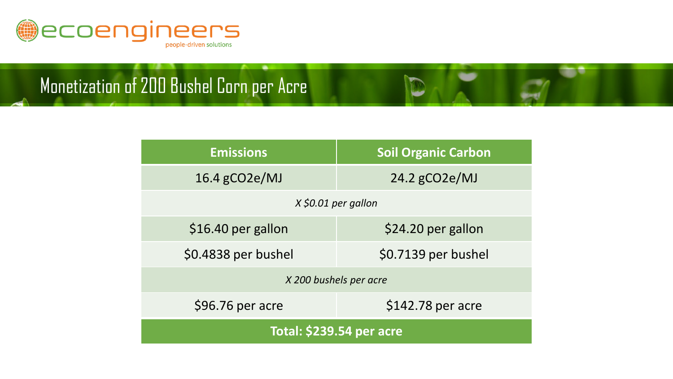

Monetization of 200 Bushel Corn per Acre

| <b>Emissions</b>                | <b>Soil Organic Carbon</b> |  |  |
|---------------------------------|----------------------------|--|--|
| $16.4$ gCO2e/MJ                 | $24.2$ gCO2e/MJ            |  |  |
| X \$0.01 per gallon             |                            |  |  |
| \$16.40 per gallon              | \$24.20 per gallon         |  |  |
| \$0.4838 per bushel             | \$0.7139 per bushel        |  |  |
| X 200 bushels per acre          |                            |  |  |
| \$96.76 per acre                | \$142.78 per acre          |  |  |
| <b>Total: \$239.54 per acre</b> |                            |  |  |

T